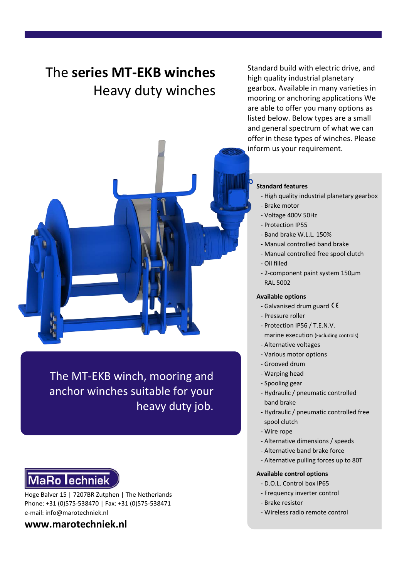## The **series MT-EKB winches** Heavy duty winches

Standard build with electric drive, and high quality industrial planetary gearbox. Available in many varieties in mooring or anchoring applications We are able to offer you many options as listed below. Below types are a small and general spectrum of what we can offer in these types of winches. Please inform us your requirement.



The MT-EKB winch, mooring and anchor winches suitable for your heavy duty job.

# **MaRo lechniek**

Hoge Balver 15 | 7207BR Zutphen | The Netherlands Phone: +31 (0)575-538470 | Fax: +31 (0)575-538471 e-mail: info@marotechniek.nl

**www.marotechniek.nl**

#### **Standard features**

- High quality industrial planetary gearbox
- Brake motor
- Voltage 400V 50Hz
- Protection IP55
- Band brake W.L.L. 150%
- Manual controlled band brake
- Manual controlled free spool clutch
- Oil filled
- 2-component paint system 150μm RAL 5002

#### **Available options**

- Galvanised drum guard  $\zeta \zeta$
- Pressure roller
- Protection IP56 / T.E.N.V.
	- marine execution (Excluding controls)
- Alternative voltages
- Various motor options
- Grooved drum
- Warping head
- Spooling gear
- Hydraulic / pneumatic controlled band brake
- Hydraulic / pneumatic controlled free spool clutch
- Wire rope
- Alternative dimensions / speeds
- Alternative band brake force
- Alternative pulling forces up to 80T

## **Available control options**

- D.O.L. Control box IP65
- Frequency inverter control
- Brake resistor
- Wireless radio remote control